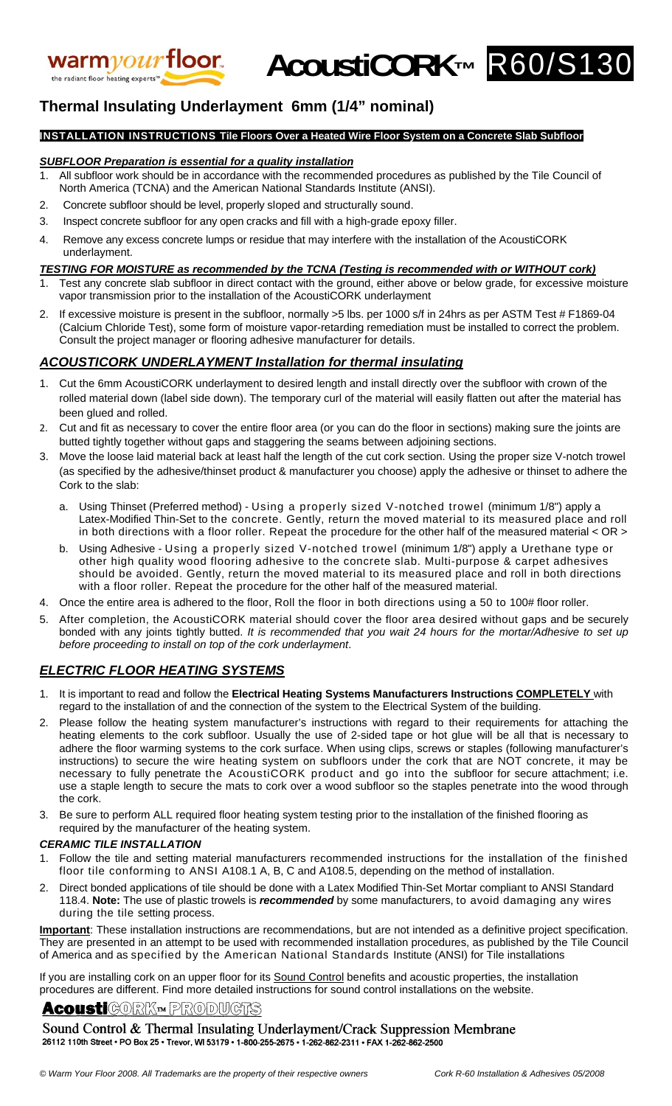

**AcoustiCORK™** R60/S130



## **Thermal Insulating Underlayment 6mm (1/4" nominal)**

## **INSTALLATION INSTRUCTIONS Tile Floors Over a Heated Wire Floor System on a Concrete Slab Subfloor**

## *SUBFLOOR Preparation is essential for a quality installation*

- 1. All subfloor work should be in accordance with the recommended procedures as published by the Tile Council of North America (TCNA) and the American National Standards Institute (ANSI).
- 2. Concrete subfloor should be level, properly sloped and structurally sound.
- 3. Inspect concrete subfloor for any open cracks and fill with a high-grade epoxy filler.
- 4. Remove any excess concrete lumps or residue that may interfere with the installation of the AcoustiCORK underlayment.

#### *TESTING FOR MOISTURE as recommended by the TCNA (Testing is recommended with or WITHOUT cork)*

- Test any concrete slab subfloor in direct contact with the ground, either above or below grade, for excessive moisture vapor transmission prior to the installation of the AcoustiCORK underlayment
- If excessive moisture is present in the subfloor, normally >5 lbs. per 1000 s/f in 24hrs as per ASTM Test # F1869-04 (Calcium Chloride Test), some form of moisture vapor-retarding remediation must be installed to correct the problem. Consult the project manager or flooring adhesive manufacturer for details.

## *ACOUSTICORK UNDERLAYMENT Installation for thermal insulating*

- 1. Cut the 6mm AcoustiCORK underlayment to desired length and install directly over the subfloor with crown of the rolled material down (label side down). The temporary curl of the material will easily flatten out after the material has been glued and rolled.
- 2. Cut and fit as necessary to cover the entire floor area (or you can do the floor in sections) making sure the joints are butted tightly together without gaps and staggering the seams between adjoining sections.
- 3. Move the loose laid material back at least half the length of the cut cork section. Using the proper size V-notch trowel (as specified by the adhesive/thinset product & manufacturer you choose) apply the adhesive or thinset to adhere the Cork to the slab:
	- a. Using Thinset (Preferred method) Using a properly sized V-notched trowel (minimum 1/8") apply a Latex-Modified Thin-Set to the concrete. Gently, return the moved material to its measured place and roll in both directions with a floor roller. Repeat the procedure for the other half of the measured material < OR >
	- b. Using Adhesive Using a properly sized V-notched trowel (minimum 1/8") apply a Urethane type or other high quality wood flooring adhesive to the concrete slab. Multi-purpose & carpet adhesives should be avoided. Gently, return the moved material to its measured place and roll in both directions with a floor roller. Repeat the procedure for the other half of the measured material.
- 4. Once the entire area is adhered to the floor, Roll the floor in both directions using a 50 to 100# floor roller.
- 5. After completion, the AcoustiCORK material should cover the floor area desired without gaps and be securely bonded with any joints tightly butted. *It is recommended that you wait 24 hours for the mortar/Adhesive to set up before proceeding to install on top of the cork underlayment*.

## *ELECTRIC FLOOR HEATING SYSTEMS*

- 1. It is important to read and follow the **Electrical Heating Systems Manufacturers Instructions COMPLETELY** with regard to the installation of and the connection of the system to the Electrical System of the building.
- 2. Please follow the heating system manufacturer's instructions with regard to their requirements for attaching the heating elements to the cork subfloor. Usually the use of 2-sided tape or hot glue will be all that is necessary to adhere the floor warming systems to the cork surface. When using clips, screws or staples (following manufacturer's instructions) to secure the wire heating system on subfloors under the cork that are NOT concrete, it may be necessary to fully penetrate the AcoustiCORK product and go into the subfloor for secure attachment; i.e. use a staple length to secure the mats to cork over a wood subfloor so the staples penetrate into the wood through the cork.
- 3. Be sure to perform ALL required floor heating system testing prior to the installation of the finished flooring as required by the manufacturer of the heating system.

#### *CERAMIC TILE INSTALLATION*

- 1. Follow the tile and setting material manufacturers recommended instructions for the installation of the finished floor tile conforming to ANSI A108.1 A, B, C and A108.5, depending on the method of installation.
- 2. Direct bonded applications of tile should be done with a Latex Modified Thin-Set Mortar compliant to ANSI Standard 118.4. **Note:** The use of plastic trowels is *recommended* by some manufacturers, to avoid damaging any wires during the tile setting process.

**Important**: These installation instructions are recommendations, but are not intended as a definitive project specification. They are presented in an attempt to be used with recommended installation procedures, as published by the Tile Council of America and as specified by the American National Standards Institute (ANSI) for Tile installations

If you are installing cork on an upper floor for its Sound Control benefits and acoustic properties, the installation procedures are different. Find more detailed instructions for sound control installations on the website.